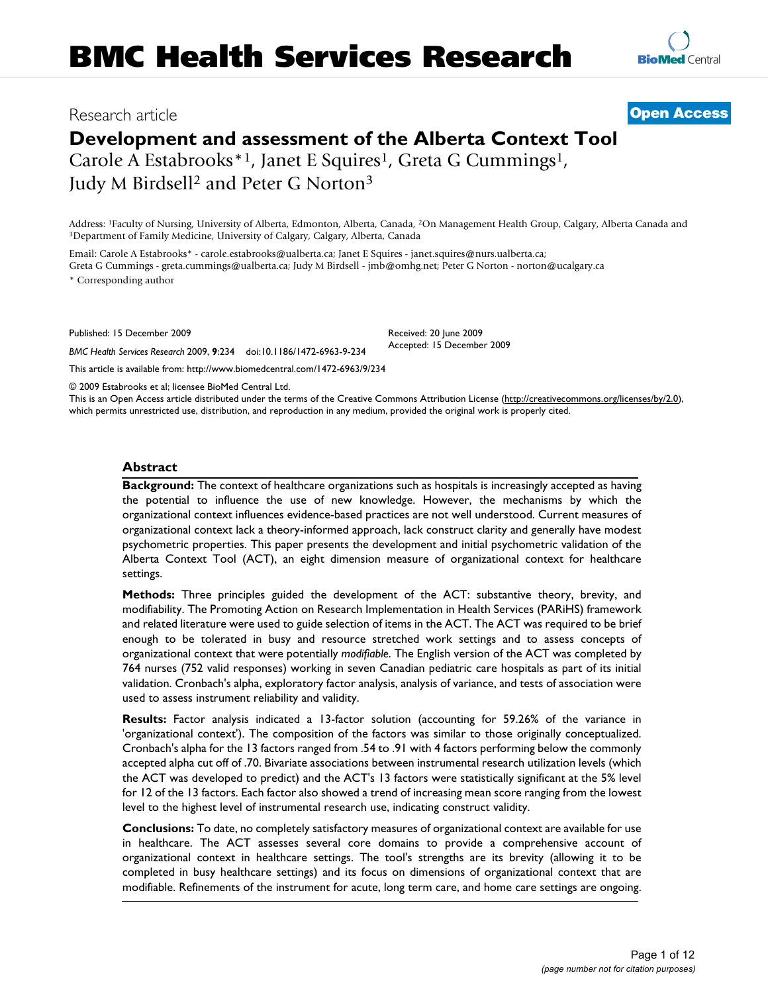# Research article **[Open Access](http://www.biomedcentral.com/info/about/charter/)**

# **Development and assessment of the Alberta Context Tool**

Carole A Estabrooks<sup>\*1</sup>, Janet E Squires<sup>1</sup>, Greta G Cummings<sup>1</sup>, Judy M Birdsell2 and Peter G Norton3

Address: <sup>1</sup>Faculty of Nursing, University of Alberta, Edmonton, Alberta, Canada, <sup>2</sup>On Management Health Group, Calgary, Alberta Canada and <sup>3</sup>Department of Family Medicine, University of Calgary, Calgary, Alberta, Canada

Email: Carole A Estabrooks\* - carole.estabrooks@ualberta.ca; Janet E Squires - janet.squires@nurs.ualberta.ca; Greta G Cummings - greta.cummings@ualberta.ca; Judy M Birdsell - jmb@omhg.net; Peter G Norton - norton@ucalgary.ca \* Corresponding author

Published: 15 December 2009

*BMC Health Services Research* 2009, **9**:234 doi:10.1186/1472-6963-9-234

[This article is available from: http://www.biomedcentral.com/1472-6963/9/234](http://www.biomedcentral.com/1472-6963/9/234)

© 2009 Estabrooks et al; licensee BioMed Central Ltd.

This is an Open Access article distributed under the terms of the Creative Commons Attribution License [\(http://creativecommons.org/licenses/by/2.0\)](http://creativecommons.org/licenses/by/2.0), which permits unrestricted use, distribution, and reproduction in any medium, provided the original work is properly cited.

Received: 20 June 2009 Accepted: 15 December 2009

#### **Abstract**

**Background:** The context of healthcare organizations such as hospitals is increasingly accepted as having the potential to influence the use of new knowledge. However, the mechanisms by which the organizational context influences evidence-based practices are not well understood. Current measures of organizational context lack a theory-informed approach, lack construct clarity and generally have modest psychometric properties. This paper presents the development and initial psychometric validation of the Alberta Context Tool (ACT), an eight dimension measure of organizational context for healthcare settings.

**Methods:** Three principles guided the development of the ACT: substantive theory, brevity, and modifiability. The Promoting Action on Research Implementation in Health Services (PARiHS) framework and related literature were used to guide selection of items in the ACT. The ACT was required to be brief enough to be tolerated in busy and resource stretched work settings and to assess concepts of organizational context that were potentially *modifiable*. The English version of the ACT was completed by 764 nurses (752 valid responses) working in seven Canadian pediatric care hospitals as part of its initial validation. Cronbach's alpha, exploratory factor analysis, analysis of variance, and tests of association were used to assess instrument reliability and validity.

**Results:** Factor analysis indicated a 13-factor solution (accounting for 59.26% of the variance in 'organizational context'). The composition of the factors was similar to those originally conceptualized. Cronbach's alpha for the 13 factors ranged from .54 to .91 with 4 factors performing below the commonly accepted alpha cut off of .70. Bivariate associations between instrumental research utilization levels (which the ACT was developed to predict) and the ACT's 13 factors were statistically significant at the 5% level for 12 of the 13 factors. Each factor also showed a trend of increasing mean score ranging from the lowest level to the highest level of instrumental research use, indicating construct validity.

**Conclusions:** To date, no completely satisfactory measures of organizational context are available for use in healthcare. The ACT assesses several core domains to provide a comprehensive account of organizational context in healthcare settings. The tool's strengths are its brevity (allowing it to be completed in busy healthcare settings) and its focus on dimensions of organizational context that are modifiable. Refinements of the instrument for acute, long term care, and home care settings are ongoing.

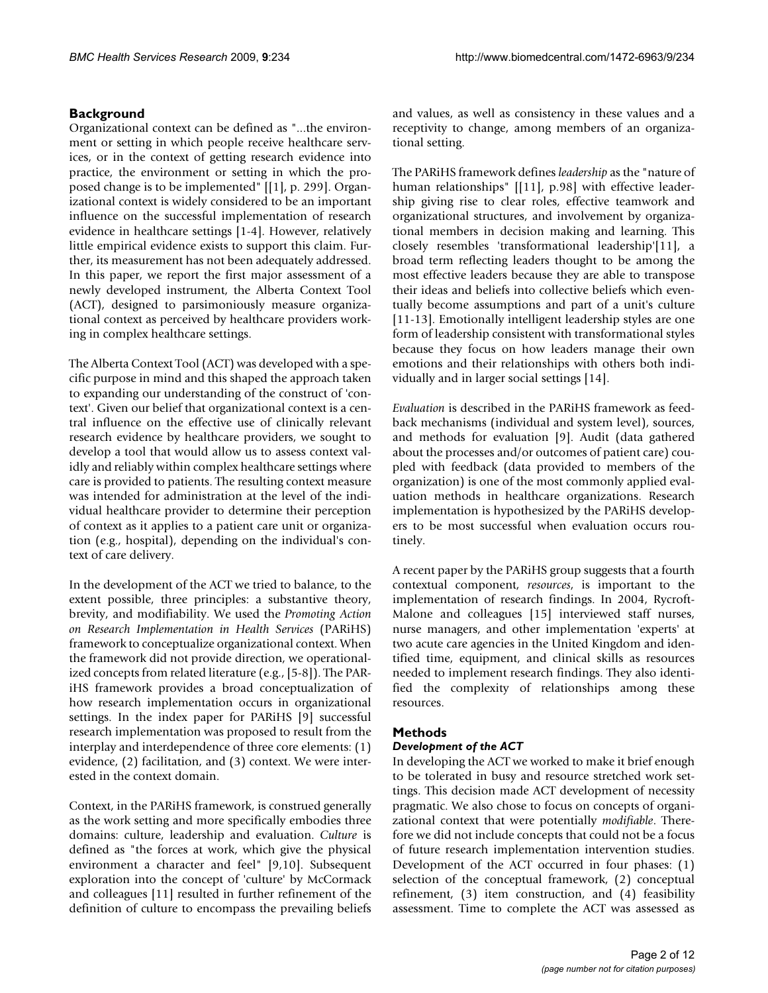# **Background**

Organizational context can be defined as "...the environment or setting in which people receive healthcare services, or in the context of getting research evidence into practice, the environment or setting in which the proposed change is to be implemented" [[1], p. 299]. Organizational context is widely considered to be an important influence on the successful implementation of research evidence in healthcare settings [1-4]. However, relatively little empirical evidence exists to support this claim. Further, its measurement has not been adequately addressed. In this paper, we report the first major assessment of a newly developed instrument, the Alberta Context Tool (ACT), designed to parsimoniously measure organizational context as perceived by healthcare providers working in complex healthcare settings.

The Alberta Context Tool (ACT) was developed with a specific purpose in mind and this shaped the approach taken to expanding our understanding of the construct of 'context'. Given our belief that organizational context is a central influence on the effective use of clinically relevant research evidence by healthcare providers, we sought to develop a tool that would allow us to assess context validly and reliably within complex healthcare settings where care is provided to patients. The resulting context measure was intended for administration at the level of the individual healthcare provider to determine their perception of context as it applies to a patient care unit or organization (e.g., hospital), depending on the individual's context of care delivery.

In the development of the ACT we tried to balance, to the extent possible, three principles: a substantive theory, brevity, and modifiability. We used the *Promoting Action on Research Implementation in Health Services* (PARiHS) framework to conceptualize organizational context. When the framework did not provide direction, we operationalized concepts from related literature (e.g., [5-8]). The PARiHS framework provides a broad conceptualization of how research implementation occurs in organizational settings. In the index paper for PARiHS [9] successful research implementation was proposed to result from the interplay and interdependence of three core elements: (1) evidence, (2) facilitation, and (3) context. We were interested in the context domain.

Context, in the PARiHS framework, is construed generally as the work setting and more specifically embodies three domains: culture, leadership and evaluation. *Culture* is defined as "the forces at work, which give the physical environment a character and feel" [9,10]. Subsequent exploration into the concept of 'culture' by McCormack and colleagues [11] resulted in further refinement of the definition of culture to encompass the prevailing beliefs and values, as well as consistency in these values and a receptivity to change, among members of an organizational setting.

The PARiHS framework defines *leadership* as the "nature of human relationships" [[11], p.98] with effective leadership giving rise to clear roles, effective teamwork and organizational structures, and involvement by organizational members in decision making and learning. This closely resembles 'transformational leadership'[11], a broad term reflecting leaders thought to be among the most effective leaders because they are able to transpose their ideas and beliefs into collective beliefs which eventually become assumptions and part of a unit's culture [11-13]. Emotionally intelligent leadership styles are one form of leadership consistent with transformational styles because they focus on how leaders manage their own emotions and their relationships with others both individually and in larger social settings [14].

*Evaluation* is described in the PARiHS framework as feedback mechanisms (individual and system level), sources, and methods for evaluation [9]. Audit (data gathered about the processes and/or outcomes of patient care) coupled with feedback (data provided to members of the organization) is one of the most commonly applied evaluation methods in healthcare organizations. Research implementation is hypothesized by the PARiHS developers to be most successful when evaluation occurs routinely.

A recent paper by the PARiHS group suggests that a fourth contextual component, *resources*, is important to the implementation of research findings. In 2004, Rycroft-Malone and colleagues [15] interviewed staff nurses, nurse managers, and other implementation 'experts' at two acute care agencies in the United Kingdom and identified time, equipment, and clinical skills as resources needed to implement research findings. They also identified the complexity of relationships among these resources.

#### **Methods**

#### *Development of the ACT*

In developing the ACT we worked to make it brief enough to be tolerated in busy and resource stretched work settings. This decision made ACT development of necessity pragmatic. We also chose to focus on concepts of organizational context that were potentially *modifiable*. Therefore we did not include concepts that could not be a focus of future research implementation intervention studies. Development of the ACT occurred in four phases: (1) selection of the conceptual framework, (2) conceptual refinement, (3) item construction, and (4) feasibility assessment. Time to complete the ACT was assessed as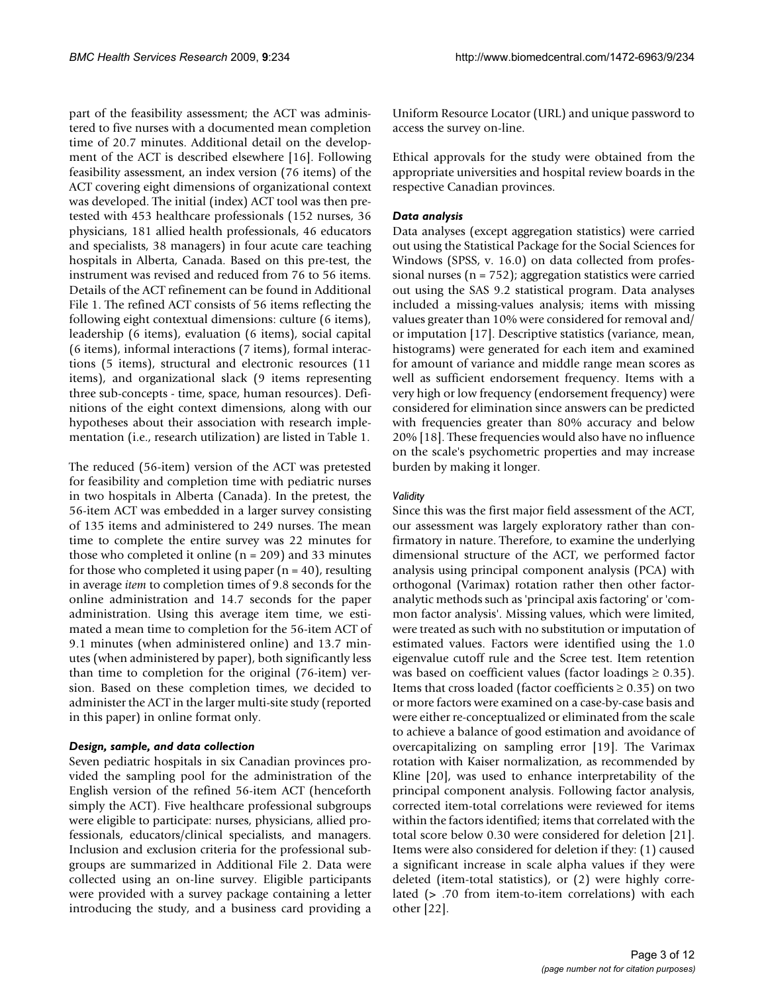part of the feasibility assessment; the ACT was administered to five nurses with a documented mean completion time of 20.7 minutes. Additional detail on the development of the ACT is described elsewhere [16]. Following feasibility assessment, an index version (76 items) of the ACT covering eight dimensions of organizational context was developed. The initial (index) ACT tool was then pretested with 453 healthcare professionals (152 nurses, 36 physicians, 181 allied health professionals, 46 educators and specialists, 38 managers) in four acute care teaching hospitals in Alberta, Canada. Based on this pre-test, the instrument was revised and reduced from 76 to 56 items. Details of the ACT refinement can be found in Additional File 1. The refined ACT consists of 56 items reflecting the following eight contextual dimensions: culture (6 items), leadership (6 items), evaluation (6 items), social capital (6 items), informal interactions (7 items), formal interactions (5 items), structural and electronic resources (11 items), and organizational slack (9 items representing three sub-concepts - time, space, human resources). Definitions of the eight context dimensions, along with our hypotheses about their association with research implementation (i.e., research utilization) are listed in Table 1.

The reduced (56-item) version of the ACT was pretested for feasibility and completion time with pediatric nurses in two hospitals in Alberta (Canada). In the pretest, the 56-item ACT was embedded in a larger survey consisting of 135 items and administered to 249 nurses. The mean time to complete the entire survey was 22 minutes for those who completed it online  $(n = 209)$  and 33 minutes for those who completed it using paper  $(n = 40)$ , resulting in average *item* to completion times of 9.8 seconds for the online administration and 14.7 seconds for the paper administration. Using this average item time, we estimated a mean time to completion for the 56-item ACT of 9.1 minutes (when administered online) and 13.7 minutes (when administered by paper), both significantly less than time to completion for the original (76-item) version. Based on these completion times, we decided to administer the ACT in the larger multi-site study (reported in this paper) in online format only.

#### *Design, sample, and data collection*

Seven pediatric hospitals in six Canadian provinces provided the sampling pool for the administration of the English version of the refined 56-item ACT (henceforth simply the ACT). Five healthcare professional subgroups were eligible to participate: nurses, physicians, allied professionals, educators/clinical specialists, and managers. Inclusion and exclusion criteria for the professional subgroups are summarized in Additional File 2. Data were collected using an on-line survey. Eligible participants were provided with a survey package containing a letter introducing the study, and a business card providing a

Uniform Resource Locator (URL) and unique password to access the survey on-line.

Ethical approvals for the study were obtained from the appropriate universities and hospital review boards in the respective Canadian provinces.

# *Data analysis*

Data analyses (except aggregation statistics) were carried out using the Statistical Package for the Social Sciences for Windows (SPSS, v. 16.0) on data collected from professional nurses (n = 752); aggregation statistics were carried out using the SAS 9.2 statistical program. Data analyses included a missing-values analysis; items with missing values greater than 10% were considered for removal and/ or imputation [17]. Descriptive statistics (variance, mean, histograms) were generated for each item and examined for amount of variance and middle range mean scores as well as sufficient endorsement frequency. Items with a very high or low frequency (endorsement frequency) were considered for elimination since answers can be predicted with frequencies greater than 80% accuracy and below 20% [18]. These frequencies would also have no influence on the scale's psychometric properties and may increase burden by making it longer.

#### *Validity*

Since this was the first major field assessment of the ACT, our assessment was largely exploratory rather than confirmatory in nature. Therefore, to examine the underlying dimensional structure of the ACT, we performed factor analysis using principal component analysis (PCA) with orthogonal (Varimax) rotation rather then other factoranalytic methods such as 'principal axis factoring' or 'common factor analysis'. Missing values, which were limited, were treated as such with no substitution or imputation of estimated values. Factors were identified using the 1.0 eigenvalue cutoff rule and the Scree test. Item retention was based on coefficient values (factor loadings  $\geq 0.35$ ). Items that cross loaded (factor coefficients  $\geq 0.35$ ) on two or more factors were examined on a case-by-case basis and were either re-conceptualized or eliminated from the scale to achieve a balance of good estimation and avoidance of overcapitalizing on sampling error [19]. The Varimax rotation with Kaiser normalization, as recommended by Kline [20], was used to enhance interpretability of the principal component analysis. Following factor analysis, corrected item-total correlations were reviewed for items within the factors identified; items that correlated with the total score below 0.30 were considered for deletion [21]. Items were also considered for deletion if they: (1) caused a significant increase in scale alpha values if they were deleted (item-total statistics), or (2) were highly correlated (> .70 from item-to-item correlations) with each other [22].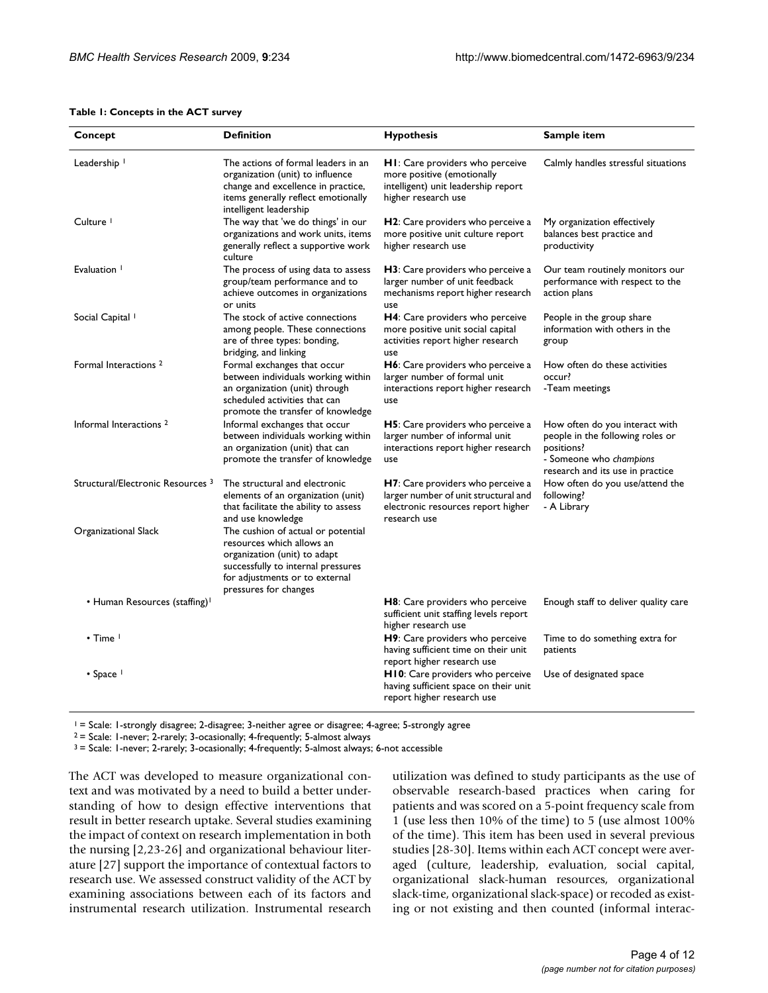#### **Table 1: Concepts in the ACT survey**

| Concept                                      | <b>Definition</b>                                                                                                                                                                                | <b>Hypothesis</b>                                                                                                                  | Sample item                                                                                                                                     |
|----------------------------------------------|--------------------------------------------------------------------------------------------------------------------------------------------------------------------------------------------------|------------------------------------------------------------------------------------------------------------------------------------|-------------------------------------------------------------------------------------------------------------------------------------------------|
| Leadership <sup>1</sup>                      | The actions of formal leaders in an<br>organization (unit) to influence<br>change and excellence in practice,<br>items generally reflect emotionally<br>intelligent leadership                   | <b>HI:</b> Care providers who perceive<br>more positive (emotionally<br>intelligent) unit leadership report<br>higher research use | Calmly handles stressful situations                                                                                                             |
| Culture <sup>1</sup>                         | The way that 'we do things' in our<br>organizations and work units, items<br>generally reflect a supportive work<br>culture                                                                      | <b>H2</b> : Care providers who perceive a<br>more positive unit culture report<br>higher research use                              | My organization effectively<br>balances best practice and<br>productivity                                                                       |
| Evaluation <sup>1</sup>                      | The process of using data to assess<br>group/team performance and to<br>achieve outcomes in organizations<br>or units                                                                            | H3: Care providers who perceive a<br>larger number of unit feedback<br>mechanisms report higher research<br>use                    | Our team routinely monitors our<br>performance with respect to the<br>action plans                                                              |
| Social Capital <sup>1</sup>                  | The stock of active connections<br>among people. These connections<br>are of three types: bonding,<br>bridging, and linking                                                                      | H4: Care providers who perceive<br>more positive unit social capital<br>activities report higher research<br>use                   | People in the group share<br>information with others in the<br>group                                                                            |
| Formal Interactions <sup>2</sup>             | Formal exchanges that occur<br>between individuals working within<br>an organization (unit) through<br>scheduled activities that can<br>promote the transfer of knowledge                        | H6: Care providers who perceive a<br>larger number of formal unit<br>interactions report higher research<br>use                    | How often do these activities<br>occur?<br>-Team meetings                                                                                       |
| Informal Interactions <sup>2</sup>           | Informal exchanges that occur<br>between individuals working within<br>an organization (unit) that can<br>promote the transfer of knowledge                                                      | <b>H5</b> : Care providers who perceive a<br>larger number of informal unit<br>interactions report higher research<br>use          | How often do you interact with<br>people in the following roles or<br>positions?<br>- Someone who champions<br>research and its use in practice |
| Structural/Electronic Resources <sup>3</sup> | The structural and electronic<br>elements of an organization (unit)<br>that facilitate the ability to assess<br>and use knowledge                                                                | H7: Care providers who perceive a<br>larger number of unit structural and<br>electronic resources report higher<br>research use    | How often do you use/attend the<br>following?<br>- A Library                                                                                    |
| Organizational Slack                         | The cushion of actual or potential<br>resources which allows an<br>organization (unit) to adapt<br>successfully to internal pressures<br>for adjustments or to external<br>pressures for changes |                                                                                                                                    |                                                                                                                                                 |
| • Human Resources (staffing) <sup>1</sup>    |                                                                                                                                                                                                  | H8: Care providers who perceive<br>sufficient unit staffing levels report<br>higher research use                                   | Enough staff to deliver quality care                                                                                                            |
| $\cdot$ Time $\vdash$                        |                                                                                                                                                                                                  | H9: Care providers who perceive<br>having sufficient time on their unit<br>report higher research use                              | Time to do something extra for<br>patients                                                                                                      |
| • Space                                      |                                                                                                                                                                                                  | H10: Care providers who perceive<br>having sufficient space on their unit<br>report higher research use                            | Use of designated space                                                                                                                         |

1 = Scale: 1-strongly disagree; 2-disagree; 3-neither agree or disagree; 4-agree; 5-strongly agree

 $2 =$  Scale: 1-never; 2-rarely; 3-ocasionally; 4-frequently; 5-almost always

3 = Scale: 1-never; 2-rarely; 3-ocasionally; 4-frequently; 5-almost always; 6-not accessible

The ACT was developed to measure organizational context and was motivated by a need to build a better understanding of how to design effective interventions that result in better research uptake. Several studies examining the impact of context on research implementation in both the nursing [2,23-26] and organizational behaviour literature [27] support the importance of contextual factors to research use. We assessed construct validity of the ACT by examining associations between each of its factors and instrumental research utilization. Instrumental research

utilization was defined to study participants as the use of observable research-based practices when caring for patients and was scored on a 5-point frequency scale from 1 (use less then 10% of the time) to 5 (use almost 100% of the time). This item has been used in several previous studies [28-30]. Items within each ACT concept were averaged (culture, leadership, evaluation, social capital, organizational slack-human resources, organizational slack-time, organizational slack-space) or recoded as existing or not existing and then counted (informal interac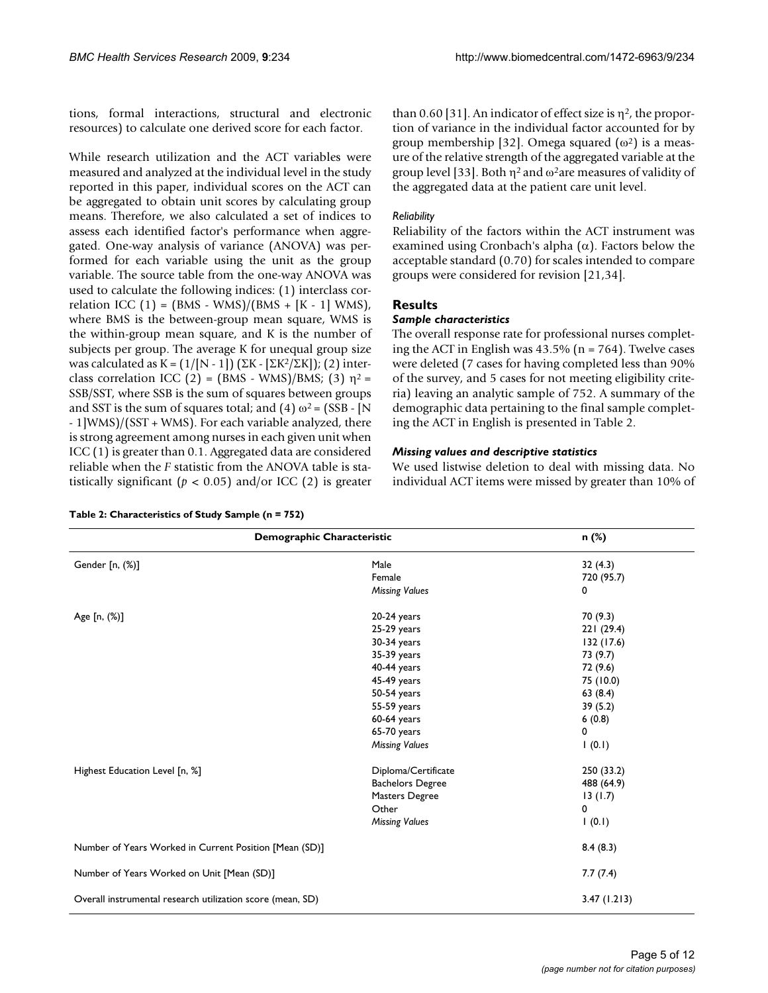tions, formal interactions, structural and electronic resources) to calculate one derived score for each factor.

While research utilization and the ACT variables were measured and analyzed at the individual level in the study reported in this paper, individual scores on the ACT can be aggregated to obtain unit scores by calculating group means. Therefore, we also calculated a set of indices to assess each identified factor's performance when aggregated. One-way analysis of variance (ANOVA) was performed for each variable using the unit as the group variable. The source table from the one-way ANOVA was used to calculate the following indices: (1) interclass correlation ICC  $(1) = (BMS - WMS)/(BMS + [K - 1] WMS)$ , where BMS is the between-group mean square, WMS is the within-group mean square, and K is the number of subjects per group. The average K for unequal group size was calculated as  $K = (1/[N-1]) (\Sigma K - [\Sigma K^2/\Sigma K])$ ; (2) interclass correlation ICC (2) = (BMS - WMS)/BMS; (3)  $\eta^2$  = SSB/SST, where SSB is the sum of squares between groups and SST is the sum of squares total; and (4)  $\omega^2 = (SSB - [N])$ - 1]WMS)/(SST + WMS). For each variable analyzed, there is strong agreement among nurses in each given unit when ICC (1) is greater than 0.1. Aggregated data are considered reliable when the *F* statistic from the ANOVA table is statistically significant ( $p < 0.05$ ) and/or ICC (2) is greater than 0.60 [31]. An indicator of effect size is  $\eta^2$ , the proportion of variance in the individual factor accounted for by group membership [32]. Omega squared  $(\omega^2)$  is a measure of the relative strength of the aggregated variable at the group level [33]. Both  $\eta^2$  and  $\omega^2$ are measures of validity of the aggregated data at the patient care unit level.

#### *Reliability*

Reliability of the factors within the ACT instrument was examined using Cronbach's alpha  $(\alpha)$ . Factors below the acceptable standard (0.70) for scales intended to compare groups were considered for revision [21,34].

# **Results**

#### *Sample characteristics*

The overall response rate for professional nurses completing the ACT in English was  $43.5\%$  (n = 764). Twelve cases were deleted (7 cases for having completed less than 90% of the survey, and 5 cases for not meeting eligibility criteria) leaving an analytic sample of 752. A summary of the demographic data pertaining to the final sample completing the ACT in English is presented in Table 2.

#### *Missing values and descriptive statistics*

We used listwise deletion to deal with missing data. No individual ACT items were missed by greater than 10% of

| Demographic Characteristic<br>n (%)                        |                         |             |  |  |  |  |
|------------------------------------------------------------|-------------------------|-------------|--|--|--|--|
|                                                            |                         |             |  |  |  |  |
| Gender [n, (%)]                                            | Male                    | 32(4.3)     |  |  |  |  |
|                                                            | Female                  | 720 (95.7)  |  |  |  |  |
|                                                            | <b>Missing Values</b>   | 0           |  |  |  |  |
| Age [n, (%)]                                               | $20-24$ years           | 70 (9.3)    |  |  |  |  |
|                                                            | 25-29 years             | 221(29.4)   |  |  |  |  |
|                                                            | 30-34 years             | 132 (17.6)  |  |  |  |  |
|                                                            | 35-39 years             | 73 (9.7)    |  |  |  |  |
|                                                            | 40-44 years             | 72 (9.6)    |  |  |  |  |
|                                                            | 45-49 years             | 75 (10.0)   |  |  |  |  |
|                                                            | 50-54 years             | 63(8.4)     |  |  |  |  |
|                                                            | 55-59 years             | 39(5.2)     |  |  |  |  |
|                                                            | 60-64 years             | 6(0.8)      |  |  |  |  |
|                                                            | 65-70 years             | 0           |  |  |  |  |
|                                                            | <b>Missing Values</b>   | 1(0.1)      |  |  |  |  |
| Highest Education Level [n, %]                             | Diploma/Certificate     | 250 (33.2)  |  |  |  |  |
|                                                            | <b>Bachelors Degree</b> | 488 (64.9)  |  |  |  |  |
|                                                            | Masters Degree          | 13(1.7)     |  |  |  |  |
|                                                            | Other                   | 0           |  |  |  |  |
|                                                            | <b>Missing Values</b>   | 1(0.1)      |  |  |  |  |
| Number of Years Worked in Current Position [Mean (SD)]     |                         | 8.4(8.3)    |  |  |  |  |
| Number of Years Worked on Unit [Mean (SD)]                 |                         | 7.7(7.4)    |  |  |  |  |
| Overall instrumental research utilization score (mean, SD) |                         | 3.47(1.213) |  |  |  |  |

**Table 2: Characteristics of Study Sample (n = 752)**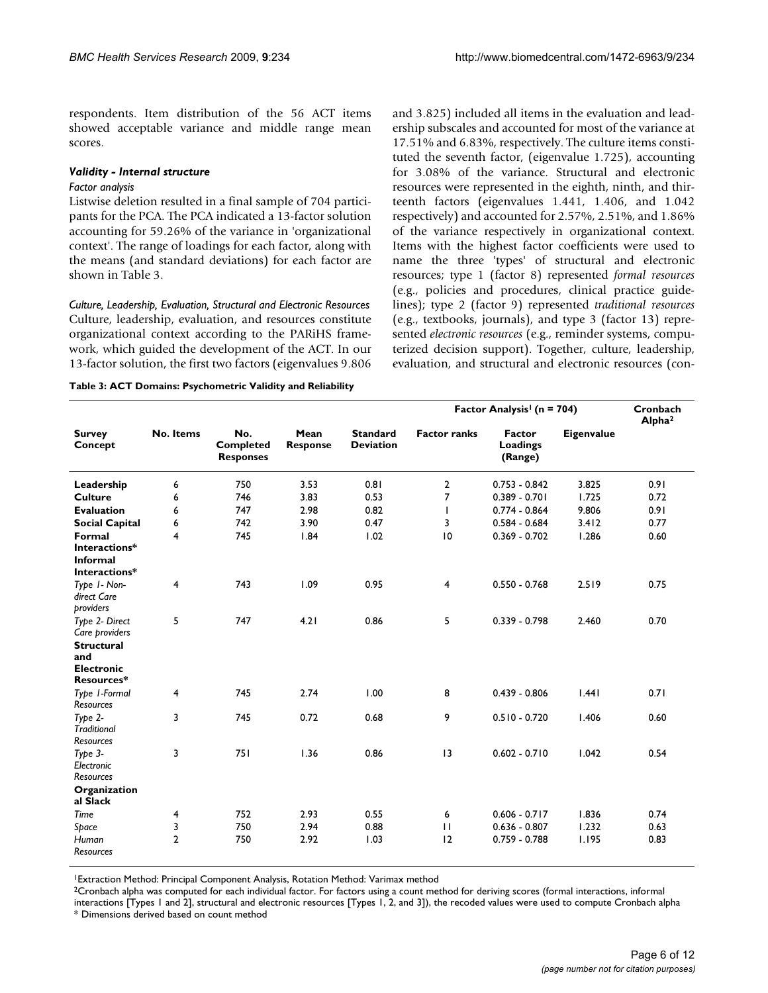respondents. Item distribution of the 56 ACT items showed acceptable variance and middle range mean scores.

#### *Validity - Internal structure*

#### *Factor analysis*

Listwise deletion resulted in a final sample of 704 participants for the PCA. The PCA indicated a 13-factor solution accounting for 59.26% of the variance in 'organizational context'. The range of loadings for each factor, along with the means (and standard deviations) for each factor are shown in Table 3.

*Culture, Leadership, Evaluation, Structural and Electronic Resources* Culture, leadership, evaluation, and resources constitute organizational context according to the PARiHS framework, which guided the development of the ACT. In our 13-factor solution, the first two factors (eigenvalues 9.806

**Table 3: ACT Domains: Psychometric Validity and Reliability**

and 3.825) included all items in the evaluation and leadership subscales and accounted for most of the variance at 17.51% and 6.83%, respectively. The culture items constituted the seventh factor, (eigenvalue 1.725), accounting for 3.08% of the variance. Structural and electronic resources were represented in the eighth, ninth, and thirteenth factors (eigenvalues 1.441, 1.406, and 1.042 respectively) and accounted for 2.57%, 2.51%, and 1.86% of the variance respectively in organizational context. Items with the highest factor coefficients were used to name the three 'types' of structural and electronic resources; type 1 (factor 8) represented *formal resources* (e.g., policies and procedures, clinical practice guidelines); type 2 (factor 9) represented *traditional resources* (e.g., textbooks, journals), and type 3 (factor 13) represented *electronic resources* (e.g., reminder systems, computerized decision support). Together, culture, leadership, evaluation, and structural and electronic resources (con-

|                                              |                | No.<br><b>Completed</b><br><b>Responses</b> | Mean<br><b>Response</b> | <b>Standard</b><br><b>Deviation</b> | Factor Analysis <sup>1</sup> (n = 704) | Cronbach<br>Alpha <sup>2</sup> |                   |      |
|----------------------------------------------|----------------|---------------------------------------------|-------------------------|-------------------------------------|----------------------------------------|--------------------------------|-------------------|------|
| <b>Survey</b><br>Concept                     | No. Items      |                                             |                         |                                     | <b>Factor ranks</b>                    | Factor<br>Loadings<br>(Range)  | <b>Eigenvalue</b> |      |
| Leadership                                   | 6              | 750                                         | 3.53                    | 0.81                                | $\overline{2}$                         | $0.753 - 0.842$                | 3.825             | 0.91 |
| <b>Culture</b>                               | 6              | 746                                         | 3.83                    | 0.53                                | 7                                      | $0.389 - 0.701$                | 1.725             | 0.72 |
| <b>Evaluation</b>                            | 6              | 747                                         | 2.98                    | 0.82                                | I.                                     | $0.774 - 0.864$                | 9.806             | 0.91 |
| <b>Social Capital</b>                        | 6              | 742                                         | 3.90                    | 0.47                                | 3                                      | $0.584 - 0.684$                | 3.412             | 0.77 |
| Formal<br>Interactions*                      | 4              | 745                                         | 1.84                    | 1.02                                | 10                                     | $0.369 - 0.702$                | 1.286             | 0.60 |
| <b>Informal</b><br>Interactions*             |                |                                             |                         |                                     |                                        |                                |                   |      |
| Type I-Non-<br>direct Care<br>providers      | 4              | 743                                         | 1.09                    | 0.95                                | 4                                      | $0.550 - 0.768$                | 2.519             | 0.75 |
| Type 2- Direct<br>Care providers             | 5              | 747                                         | 4.21                    | 0.86                                | 5                                      | $0.339 - 0.798$                | 2.460             | 0.70 |
| <b>Structural</b>                            |                |                                             |                         |                                     |                                        |                                |                   |      |
| and<br><b>Electronic</b><br>Resources*       |                |                                             |                         |                                     |                                        |                                |                   |      |
| Type 1-Formal<br>Resources                   | 4              | 745                                         | 2.74                    | 1.00                                | 8                                      | $0.439 - 0.806$                | 1.441             | 0.71 |
| Type $2-$<br><b>Traditional</b><br>Resources | 3              | 745                                         | 0.72                    | 0.68                                | 9                                      | $0.510 - 0.720$                | 1.406             | 0.60 |
| Type 3-<br>Electronic<br>Resources           | 3              | 751                                         | 1.36                    | 0.86                                | 13                                     | $0.602 - 0.710$                | 1.042             | 0.54 |
| Organization<br>al Slack                     |                |                                             |                         |                                     |                                        |                                |                   |      |
| Time                                         | 4              | 752                                         | 2.93                    | 0.55                                | 6                                      | $0.606 - 0.717$                | 1.836             | 0.74 |
| Space                                        | 3              | 750                                         | 2.94                    | 0.88                                | $\mathbf{H}$                           | $0.636 - 0.807$                | 1.232             | 0.63 |
| Human<br>Resources                           | $\overline{2}$ | 750                                         | 2.92                    | 1.03                                | 12                                     | $0.759 - 0.788$                | 1.195             | 0.83 |

1Extraction Method: Principal Component Analysis, Rotation Method: Varimax method

2Cronbach alpha was computed for each individual factor. For factors using a count method for deriving scores (formal interactions, informal interactions [Types 1 and 2], structural and electronic resources [Types 1, 2, and 3]), the recoded values were used to compute Cronbach alpha

\* Dimensions derived based on count method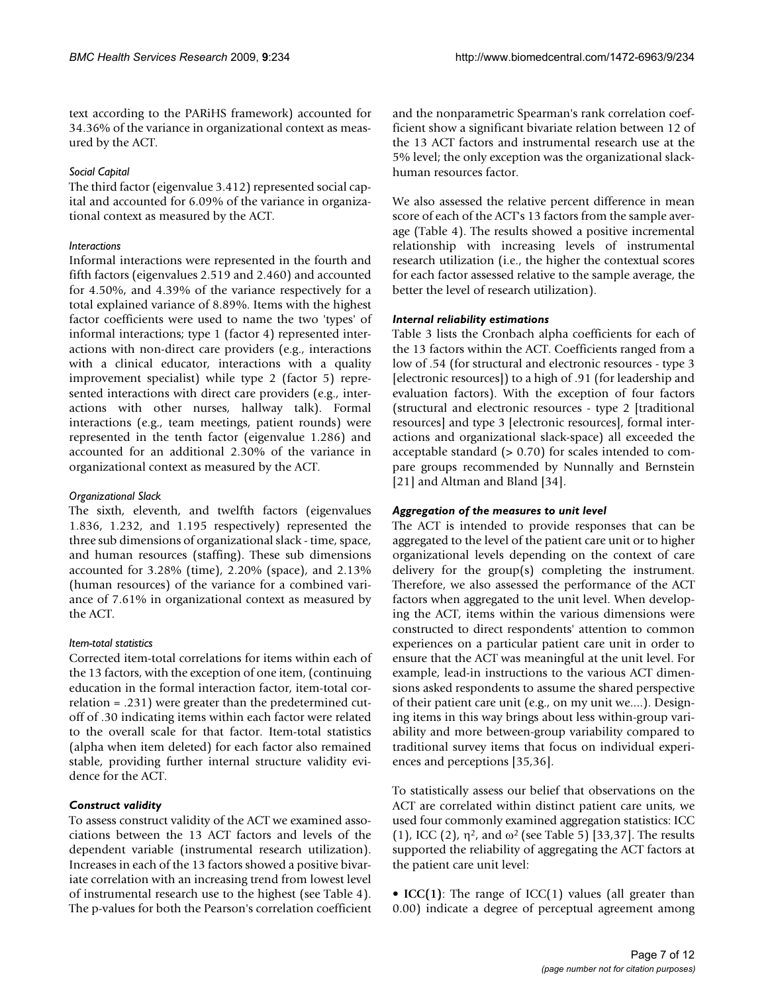text according to the PARiHS framework) accounted for 34.36% of the variance in organizational context as measured by the ACT.

# *Social Capital*

The third factor (eigenvalue 3.412) represented social capital and accounted for 6.09% of the variance in organizational context as measured by the ACT.

# *Interactions*

Informal interactions were represented in the fourth and fifth factors (eigenvalues 2.519 and 2.460) and accounted for 4.50%, and 4.39% of the variance respectively for a total explained variance of 8.89%. Items with the highest factor coefficients were used to name the two 'types' of informal interactions; type 1 (factor 4) represented interactions with non-direct care providers (e.g., interactions with a clinical educator, interactions with a quality improvement specialist) while type 2 (factor 5) represented interactions with direct care providers (e.g., interactions with other nurses, hallway talk). Formal interactions (e.g., team meetings, patient rounds) were represented in the tenth factor (eigenvalue 1.286) and accounted for an additional 2.30% of the variance in organizational context as measured by the ACT.

# *Organizational Slack*

The sixth, eleventh, and twelfth factors (eigenvalues 1.836, 1.232, and 1.195 respectively) represented the three sub dimensions of organizational slack - time, space, and human resources (staffing). These sub dimensions accounted for 3.28% (time), 2.20% (space), and 2.13% (human resources) of the variance for a combined variance of 7.61% in organizational context as measured by the ACT.

# *Item-total statistics*

Corrected item-total correlations for items within each of the 13 factors, with the exception of one item, (continuing education in the formal interaction factor, item-total correlation = .231) were greater than the predetermined cutoff of .30 indicating items within each factor were related to the overall scale for that factor. Item-total statistics (alpha when item deleted) for each factor also remained stable, providing further internal structure validity evidence for the ACT.

# *Construct validity*

To assess construct validity of the ACT we examined associations between the 13 ACT factors and levels of the dependent variable (instrumental research utilization). Increases in each of the 13 factors showed a positive bivariate correlation with an increasing trend from lowest level of instrumental research use to the highest (see Table 4). The p-values for both the Pearson's correlation coefficient and the nonparametric Spearman's rank correlation coefficient show a significant bivariate relation between 12 of the 13 ACT factors and instrumental research use at the 5% level; the only exception was the organizational slackhuman resources factor.

We also assessed the relative percent difference in mean score of each of the ACT's 13 factors from the sample average (Table 4). The results showed a positive incremental relationship with increasing levels of instrumental research utilization (i.e., the higher the contextual scores for each factor assessed relative to the sample average, the better the level of research utilization).

#### *Internal reliability estimations*

Table 3 lists the Cronbach alpha coefficients for each of the 13 factors within the ACT. Coefficients ranged from a low of .54 (for structural and electronic resources - type 3 [electronic resources]) to a high of .91 (for leadership and evaluation factors). With the exception of four factors (structural and electronic resources - type 2 [traditional resources] and type 3 [electronic resources], formal interactions and organizational slack-space) all exceeded the acceptable standard (> 0.70) for scales intended to compare groups recommended by Nunnally and Bernstein [21] and Altman and Bland [34].

# *Aggregation of the measures to unit level*

The ACT is intended to provide responses that can be aggregated to the level of the patient care unit or to higher organizational levels depending on the context of care delivery for the group(s) completing the instrument. Therefore, we also assessed the performance of the ACT factors when aggregated to the unit level. When developing the ACT, items within the various dimensions were constructed to direct respondents' attention to common experiences on a particular patient care unit in order to ensure that the ACT was meaningful at the unit level. For example, lead-in instructions to the various ACT dimensions asked respondents to assume the shared perspective of their patient care unit (e.g., on my unit we....). Designing items in this way brings about less within-group variability and more between-group variability compared to traditional survey items that focus on individual experiences and perceptions [35,36].

To statistically assess our belief that observations on the ACT are correlated within distinct patient care units, we used four commonly examined aggregation statistics: ICC (1), ICC (2),  $\eta^2$ , and  $\omega^2$  (see Table 5) [33,37]. The results supported the reliability of aggregating the ACT factors at the patient care unit level:

• **ICC(1)**: The range of ICC(1) values (all greater than 0.00) indicate a degree of perceptual agreement among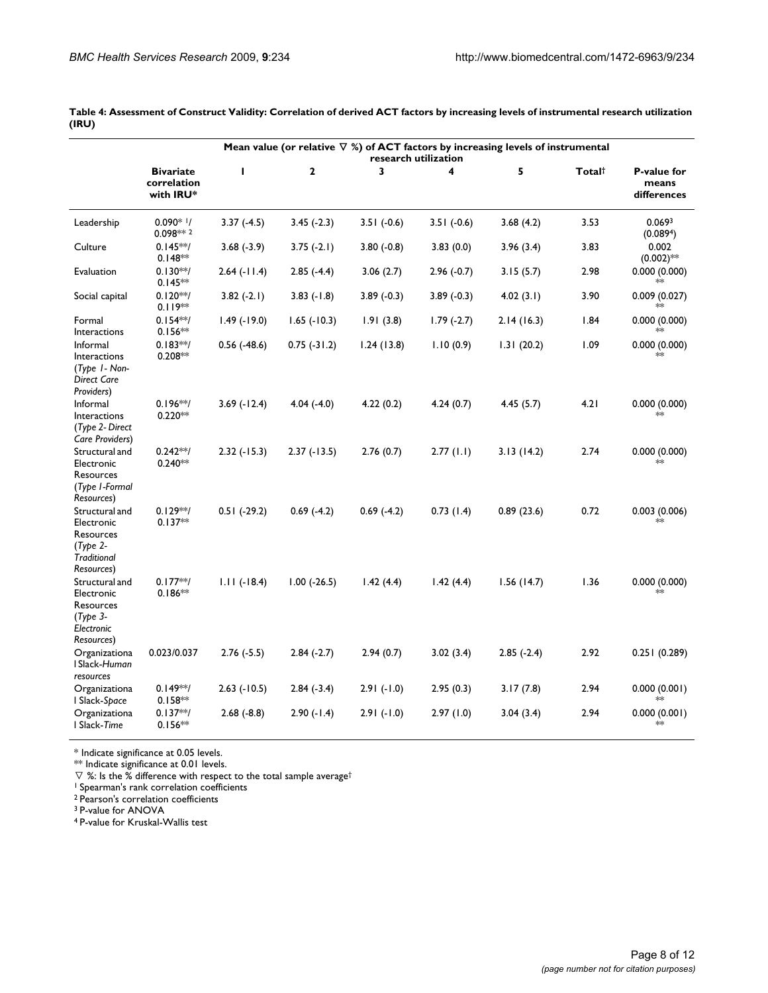|                                                                                              | Mean value (or relative $\nabla$ %) of ACT factors by increasing levels of instrumental<br>research utilization |                    |                |              |              |              |        |                                            |
|----------------------------------------------------------------------------------------------|-----------------------------------------------------------------------------------------------------------------|--------------------|----------------|--------------|--------------|--------------|--------|--------------------------------------------|
|                                                                                              | <b>Bivariate</b><br>correlation<br>with IRU*                                                                    | ı                  | $\mathbf{2}$   | 3            | 4            | 5            | Total† | <b>P-value for</b><br>means<br>differences |
| Leadership                                                                                   | $0.090*1/$<br>0.098 ** 2                                                                                        | $3.37(-4.5)$       | $3.45(-2.3)$   | $3.51(-0.6)$ | $3.51(-0.6)$ | 3.68(4.2)    | 3.53   | 0.069 <sup>3</sup><br>(0.0894)             |
| Culture                                                                                      | $0.145**/$<br>$0.148**$                                                                                         | $3.68(-3.9)$       | $3.75(-2.1)$   | $3.80(-0.8)$ | 3.83(0.0)    | 3.96(3.4)    | 3.83   | 0.002<br>$(0.002)$ **                      |
| Evaluation                                                                                   | $0.130**/$<br>$0.145**$                                                                                         | 2.64 (-11.4)       | $2.85(-4.4)$   | 3.06(2.7)    | 2.96 (-0.7)  | 3.15(5.7)    | 2.98   | 0.000(0.000)<br>$*$                        |
| Social capital                                                                               | $0.120**/$<br>$0.119**$                                                                                         | $3.82(-2.1)$       | $3.83(-1.8)$   | $3.89(-0.3)$ | $3.89(-0.3)$ | 4.02(3.1)    | 3.90   | 0.009(0.027)                               |
| Formal<br>Interactions                                                                       | $0.154**/$<br>$0.156**$                                                                                         | $1.49$ (-19.0)     | $1.65$ (-10.3) | 1.91(3.8)    | $1.79(-2.7)$ | 2.14(16.3)   | 1.84   | 0.000(0.000)                               |
| Informal<br>Interactions<br>(Type 1- Non-<br>Direct Care<br>Providers)                       | $0.183**/$<br>$0.208**$                                                                                         | $0.56$ $(-48.6)$   | $0.75(-31.2)$  | 1.24(13.8)   | 1.10(0.9)    | 1.31(20.2)   | 1.09   | 0.000(0.000)                               |
| Informal<br>Interactions<br>(Type 2- Direct<br>Care Providers)                               | $0.196**/$<br>$0.220**$                                                                                         | $3.69$ ( $-12.4$ ) | $4.04(-4.0)$   | 4.22(0.2)    | 4.24(0.7)    | 4.45(5.7)    | 4.21   | 0.000(0.000)<br>×                          |
| Structural and<br>Electronic<br>Resources<br>(Type I-Formal<br>Resources)                    | $0.242**/$<br>$0.240**$                                                                                         | $2.32(-15.3)$      | $2.37(-13.5)$  | 2.76(0.7)    | 2.77(1.1)    | 3.13(14.2)   | 2.74   | 0.000(0.000)<br>≯oķ                        |
| Structural and<br>Electronic<br>Resources<br>$(T$ ype 2-<br><b>Traditional</b><br>Resources) | $0.129**/$<br>$0.137**$                                                                                         | $0.51$ (-29.2)     | $0.69(-4.2)$   | $0.69(-4.2)$ | 0.73(1.4)    | 0.89(23.6)   | 0.72   | 0.003 (0.006)                              |
| Structural and<br>Electronic<br>Resources<br>$(T$ ype 3-<br>Electronic<br>Resources)         | $0.177**/$<br>$0.186**$                                                                                         | $1.11(-18.4)$      | $1.00$ (-26.5) | 1.42(4.4)    | 1.42(4.4)    | 1.56(14.7)   | 1.36   | 0.000(0.000)<br>$*$                        |
| Organizationa<br>I Slack-Human<br>resources                                                  | 0.023/0.037                                                                                                     | $2.76(-5.5)$       | $2.84(-2.7)$   | 2.94(0.7)    | 3.02(3.4)    | $2.85(-2.4)$ | 2.92   | 0.251 (0.289)                              |
| Organizationa<br>I Slack-Space                                                               | $0.149**/$<br>$0.158**$                                                                                         | $2.63$ (-10.5)     | $2.84(-3.4)$   | $2.91(-1.0)$ | 2.95(0.3)    | 3.17(7.8)    | 2.94   | 0.000(0.001)                               |
| Organizationa<br>I Slack-Time                                                                | $0.137**/$<br>$0.156**$                                                                                         | $2.68(-8.8)$       | $2.90(-1.4)$   | $2.91(-1.0)$ | 2.97(1.0)    | 3.04(3.4)    | 2.94   | 0.000(0.001)<br>≯ok                        |

**Table 4: Assessment of Construct Validity: Correlation of derived ACT factors by increasing levels of instrumental research utilization (IRU)**

\* Indicate significance at 0.05 levels.

\*\* Indicate significance at 0.01 levels.

 $\nabla$  %: Is the % difference with respect to the total sample average<sup>†</sup>

<sup>1</sup> Spearman's rank correlation coefficients

<sup>2</sup> Pearson's correlation coefficients

3 P-value for ANOVA

4 P-value for Kruskal-Wallis test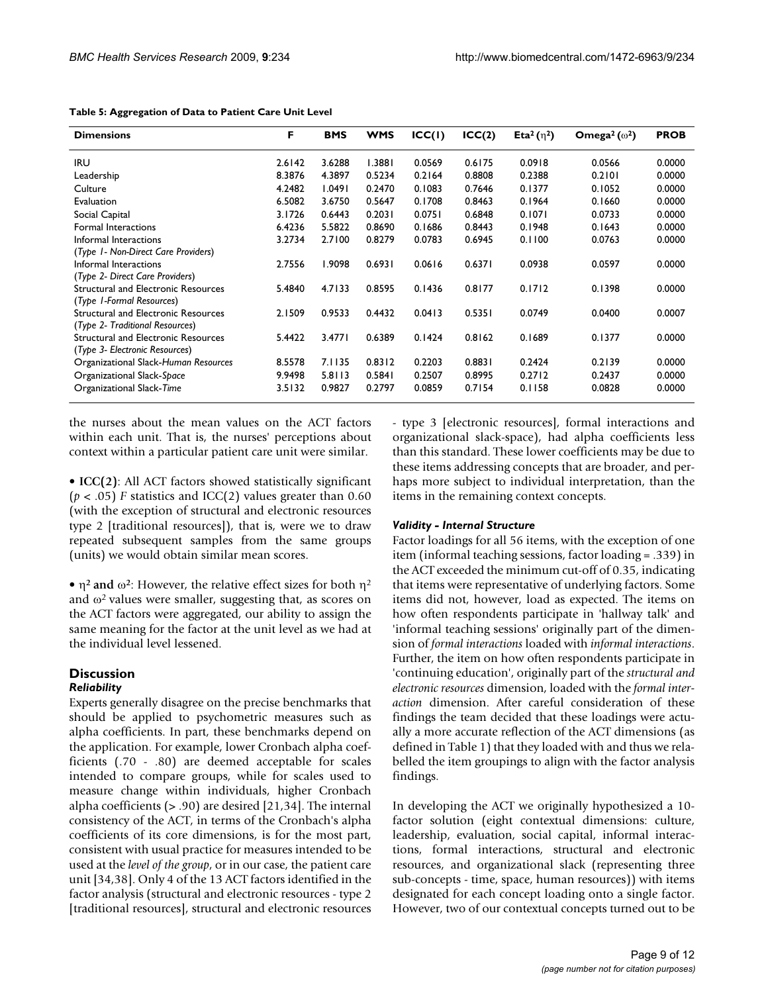| <b>Dimensions</b>                                                      | F      | <b>BMS</b> | <b>WMS</b> | ICC(I) | ICC(2) | Eta <sup>2</sup> ( $\eta$ <sup>2</sup> ) | Omega <sup>2</sup> ( $\omega$ <sup>2</sup> ) | <b>PROB</b> |
|------------------------------------------------------------------------|--------|------------|------------|--------|--------|------------------------------------------|----------------------------------------------|-------------|
| <b>IRU</b>                                                             | 2.6142 | 3.6288     | 1.3881     | 0.0569 | 0.6175 | 0.0918                                   | 0.0566                                       | 0.0000      |
| Leadership                                                             | 8.3876 | 4.3897     | 0.5234     | 0.2164 | 0.8808 | 0.2388                                   | 0.2101                                       | 0.0000      |
| Culture                                                                | 4.2482 | 1.0491     | 0.2470     | 0.1083 | 0.7646 | 0.1377                                   | 0.1052                                       | 0.0000      |
| Evaluation                                                             | 6.5082 | 3.6750     | 0.5647     | 0.1708 | 0.8463 | 0.1964                                   | 0.1660                                       | 0.0000      |
| Social Capital                                                         | 3.1726 | 0.6443     | 0.2031     | 0.0751 | 0.6848 | 0.1071                                   | 0.0733                                       | 0.0000      |
| Formal Interactions                                                    | 6.4236 | 5.5822     | 0.8690     | 0.1686 | 0.8443 | 0.1948                                   | 0.1643                                       | 0.0000      |
| Informal Interactions                                                  | 3.2734 | 2.7100     | 0.8279     | 0.0783 | 0.6945 | 0.1100                                   | 0.0763                                       | 0.0000      |
| (Type 1- Non-Direct Care Providers)                                    |        |            |            |        |        |                                          |                                              |             |
| Informal Interactions                                                  | 2.7556 | 1.9098     | 0.6931     | 0.0616 | 0.6371 | 0.0938                                   | 0.0597                                       | 0.0000      |
| (Type 2- Direct Care Providers)                                        |        |            |            |        |        |                                          |                                              |             |
| Structural and Electronic Resources<br>(Type 1-Formal Resources)       | 5.4840 | 4.7133     | 0.8595     | 0.1436 | 0.8177 | 0.1712                                   | 0.1398                                       | 0.0000      |
| Structural and Electronic Resources<br>(Type 2- Traditional Resources) | 2.1509 | 0.9533     | 0.4432     | 0.0413 | 0.5351 | 0.0749                                   | 0.0400                                       | 0.0007      |
| <b>Structural and Electronic Resources</b>                             | 5.4422 | 3.4771     | 0.6389     | 0.1424 | 0.8162 | 0.1689                                   | 0.1377                                       | 0.0000      |
| (Type 3- Electronic Resources)                                         |        |            |            |        |        |                                          |                                              |             |
| Organizational Slack-Human Resources                                   | 8.5578 | 7.1135     | 0.8312     | 0.2203 | 0.8831 | 0.2424                                   | 0.2139                                       | 0.0000      |
| Organizational Slack-Space                                             | 9.9498 | 5.8113     | 0.5841     | 0.2507 | 0.8995 | 0.2712                                   | 0.2437                                       | 0.0000      |
| Organizational Slack-Time                                              | 3.5132 | 0.9827     | 0.2797     | 0.0859 | 0.7154 | 0.1158                                   | 0.0828                                       | 0.0000      |

#### **Table 5: Aggregation of Data to Patient Care Unit Level**

the nurses about the mean values on the ACT factors within each unit. That is, the nurses' perceptions about context within a particular patient care unit were similar.

• **ICC(2)**: All ACT factors showed statistically significant  $(p < .05)$  *F* statistics and ICC(2) values greater than 0.60 (with the exception of structural and electronic resources type 2 [traditional resources]), that is, were we to draw repeated subsequent samples from the same groups (units) we would obtain similar mean scores.

• η**2 and** ω**<sup>2</sup>**: However, the relative effect sizes for both η<sup>2</sup> and  $\omega^2$  values were smaller, suggesting that, as scores on the ACT factors were aggregated, our ability to assign the same meaning for the factor at the unit level as we had at the individual level lessened.

#### **Discussion** *Reliability*

Experts generally disagree on the precise benchmarks that should be applied to psychometric measures such as alpha coefficients. In part, these benchmarks depend on the application. For example, lower Cronbach alpha coefficients (.70 - .80) are deemed acceptable for scales intended to compare groups, while for scales used to measure change within individuals, higher Cronbach alpha coefficients (> .90) are desired [21,34]. The internal consistency of the ACT, in terms of the Cronbach's alpha coefficients of its core dimensions, is for the most part, consistent with usual practice for measures intended to be used at the *level of the group*, or in our case, the patient care unit [34,38]. Only 4 of the 13 ACT factors identified in the factor analysis (structural and electronic resources - type 2 [traditional resources], structural and electronic resources - type 3 [electronic resources], formal interactions and organizational slack-space), had alpha coefficients less than this standard. These lower coefficients may be due to these items addressing concepts that are broader, and perhaps more subject to individual interpretation, than the items in the remaining context concepts.

#### *Validity - Internal Structure*

Factor loadings for all 56 items, with the exception of one item (informal teaching sessions, factor loading = .339) in the ACT exceeded the minimum cut-off of 0.35, indicating that items were representative of underlying factors. Some items did not, however, load as expected. The items on how often respondents participate in 'hallway talk' and 'informal teaching sessions' originally part of the dimension of *formal interactions* loaded with *informal interactions*. Further, the item on how often respondents participate in 'continuing education', originally part of the *structural and electronic resources* dimension, loaded with the *formal interaction* dimension. After careful consideration of these findings the team decided that these loadings were actually a more accurate reflection of the ACT dimensions (as defined in Table 1) that they loaded with and thus we relabelled the item groupings to align with the factor analysis findings.

In developing the ACT we originally hypothesized a 10 factor solution (eight contextual dimensions: culture, leadership, evaluation, social capital, informal interactions, formal interactions, structural and electronic resources, and organizational slack (representing three sub-concepts - time, space, human resources)) with items designated for each concept loading onto a single factor. However, two of our contextual concepts turned out to be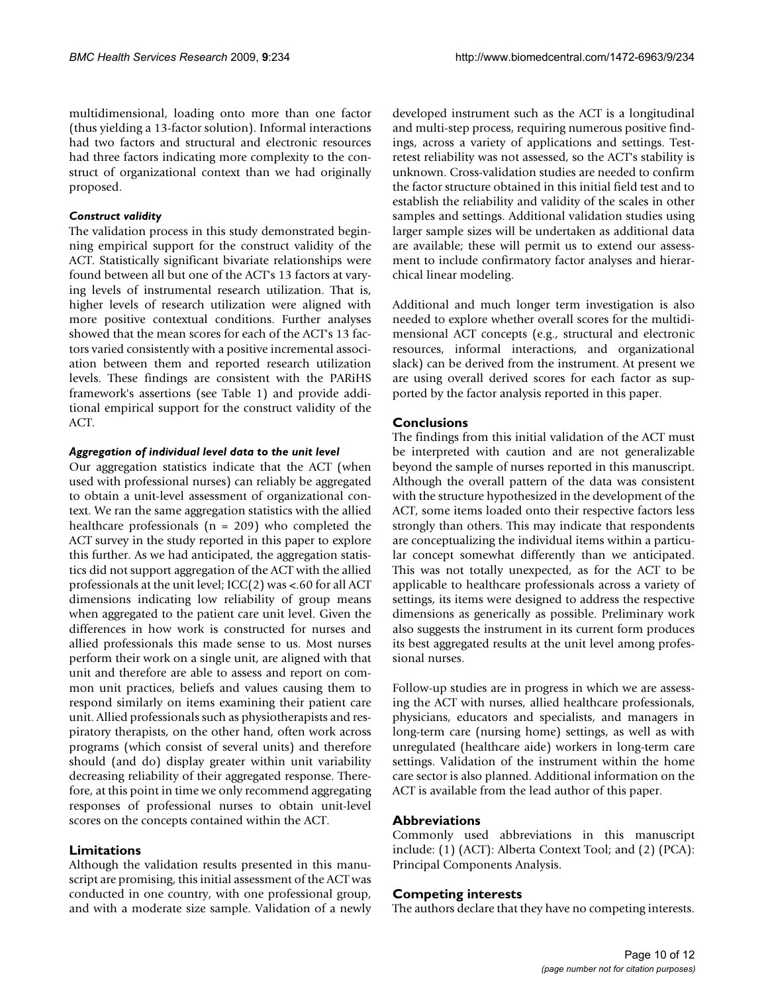multidimensional, loading onto more than one factor (thus yielding a 13-factor solution). Informal interactions had two factors and structural and electronic resources had three factors indicating more complexity to the construct of organizational context than we had originally proposed.

# *Construct validity*

The validation process in this study demonstrated beginning empirical support for the construct validity of the ACT. Statistically significant bivariate relationships were found between all but one of the ACT's 13 factors at varying levels of instrumental research utilization. That is, higher levels of research utilization were aligned with more positive contextual conditions. Further analyses showed that the mean scores for each of the ACT's 13 factors varied consistently with a positive incremental association between them and reported research utilization levels. These findings are consistent with the PARiHS framework's assertions (see Table 1) and provide additional empirical support for the construct validity of the ACT.

# *Aggregation of individual level data to the unit level*

Our aggregation statistics indicate that the ACT (when used with professional nurses) can reliably be aggregated to obtain a unit-level assessment of organizational context. We ran the same aggregation statistics with the allied healthcare professionals ( $n = 209$ ) who completed the ACT survey in the study reported in this paper to explore this further. As we had anticipated, the aggregation statistics did not support aggregation of the ACT with the allied professionals at the unit level; ICC(2) was <.60 for all ACT dimensions indicating low reliability of group means when aggregated to the patient care unit level. Given the differences in how work is constructed for nurses and allied professionals this made sense to us. Most nurses perform their work on a single unit, are aligned with that unit and therefore are able to assess and report on common unit practices, beliefs and values causing them to respond similarly on items examining their patient care unit. Allied professionals such as physiotherapists and respiratory therapists, on the other hand, often work across programs (which consist of several units) and therefore should (and do) display greater within unit variability decreasing reliability of their aggregated response. Therefore, at this point in time we only recommend aggregating responses of professional nurses to obtain unit-level scores on the concepts contained within the ACT.

# **Limitations**

Although the validation results presented in this manuscript are promising, this initial assessment of the ACT was conducted in one country, with one professional group, and with a moderate size sample. Validation of a newly developed instrument such as the ACT is a longitudinal and multi-step process, requiring numerous positive findings, across a variety of applications and settings. Testretest reliability was not assessed, so the ACT's stability is unknown. Cross-validation studies are needed to confirm the factor structure obtained in this initial field test and to establish the reliability and validity of the scales in other samples and settings. Additional validation studies using larger sample sizes will be undertaken as additional data are available; these will permit us to extend our assessment to include confirmatory factor analyses and hierarchical linear modeling.

Additional and much longer term investigation is also needed to explore whether overall scores for the multidimensional ACT concepts (e.g., structural and electronic resources, informal interactions, and organizational slack) can be derived from the instrument. At present we are using overall derived scores for each factor as supported by the factor analysis reported in this paper.

# **Conclusions**

The findings from this initial validation of the ACT must be interpreted with caution and are not generalizable beyond the sample of nurses reported in this manuscript. Although the overall pattern of the data was consistent with the structure hypothesized in the development of the ACT, some items loaded onto their respective factors less strongly than others. This may indicate that respondents are conceptualizing the individual items within a particular concept somewhat differently than we anticipated. This was not totally unexpected, as for the ACT to be applicable to healthcare professionals across a variety of settings, its items were designed to address the respective dimensions as generically as possible. Preliminary work also suggests the instrument in its current form produces its best aggregated results at the unit level among professional nurses.

Follow-up studies are in progress in which we are assessing the ACT with nurses, allied healthcare professionals, physicians, educators and specialists, and managers in long-term care (nursing home) settings, as well as with unregulated (healthcare aide) workers in long-term care settings. Validation of the instrument within the home care sector is also planned. Additional information on the ACT is available from the lead author of this paper.

# **Abbreviations**

Commonly used abbreviations in this manuscript include: (1) (ACT): Alberta Context Tool; and (2) (PCA): Principal Components Analysis.

# **Competing interests**

The authors declare that they have no competing interests.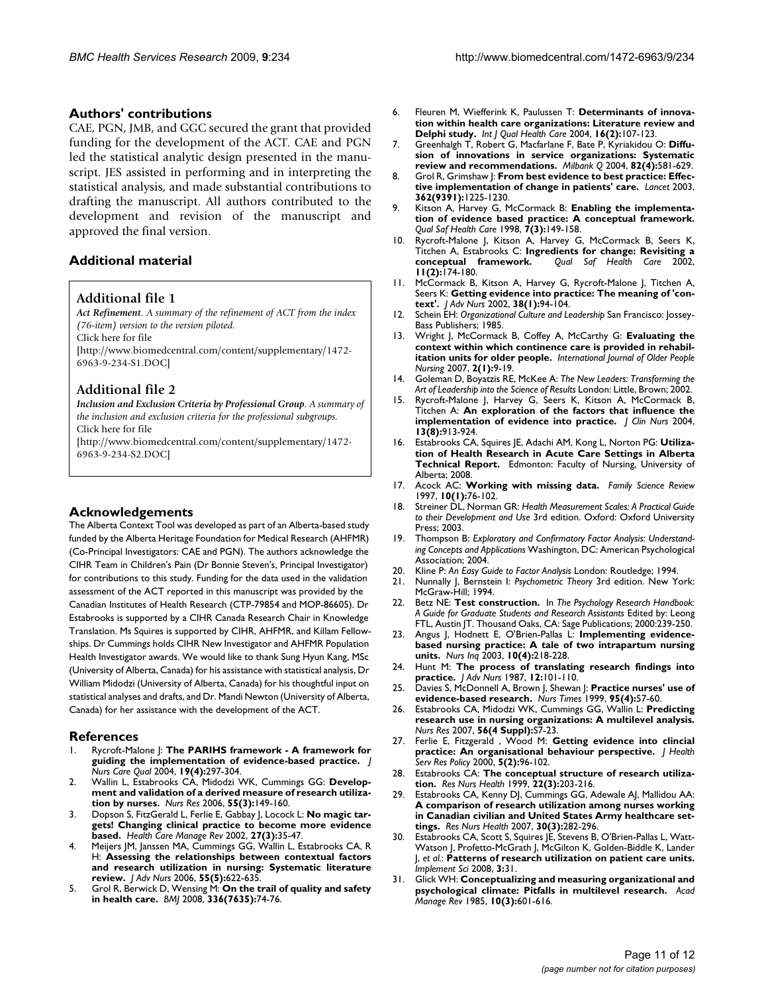#### **Authors' contributions**

CAE, PGN, JMB, and GGC secured the grant that provided funding for the development of the ACT. CAE and PGN led the statistical analytic design presented in the manuscript. JES assisted in performing and in interpreting the statistical analysis, and made substantial contributions to drafting the manuscript. All authors contributed to the development and revision of the manuscript and approved the final version.

# **Additional material**

# **Additional file 1**

*Act Refinement. A summary of the refinement of ACT from the index (76-item) version to the version piloted.* Click here for file [\[http://www.biomedcentral.com/content/supplementary/1472-](http://www.biomedcentral.com/content/supplementary/1472-6963-9-234-S1.DOC) 6963-9-234-S1.DOC]

# **Additional file 2**

*Inclusion and Exclusion Criteria by Professional Group. A summary of the inclusion and exclusion criteria for the professional subgroups.* Click here for file

[\[http://www.biomedcentral.com/content/supplementary/1472-](http://www.biomedcentral.com/content/supplementary/1472-6963-9-234-S2.DOC) 6963-9-234-S2.DOC]

# **Acknowledgements**

The Alberta Context Tool was developed as part of an Alberta-based study funded by the Alberta Heritage Foundation for Medical Research (AHFMR) (Co-Principal Investigators: CAE and PGN). The authors acknowledge the CIHR Team in Children's Pain (Dr Bonnie Steven's, Principal Investigator) for contributions to this study. Funding for the data used in the validation assessment of the ACT reported in this manuscript was provided by the Canadian Institutes of Health Research (CTP-79854 and MOP-86605). Dr Estabrooks is supported by a CIHR Canada Research Chair in Knowledge Translation. Ms Squires is supported by CIHR, AHFMR, and Killam Fellowships. Dr Cummings holds CIHR New Investigator and AHFMR Population Health Investigator awards. We would like to thank Sung Hyun Kang, MSc (University of Alberta, Canada) for his assistance with statistical analysis, Dr William Midodzi (University of Alberta, Canada) for his thoughtful input on statistical analyses and drafts, and Dr. Mandi Newton (University of Alberta, Canada) for her assistance with the development of the ACT.

#### **References**

- 1. Rycroft-Malone J: **[The PARIHS framework A framework for](http://www.ncbi.nlm.nih.gov/entrez/query.fcgi?cmd=Retrieve&db=PubMed&dopt=Abstract&list_uids=15535533) [guiding the implementation of evidence-based practice.](http://www.ncbi.nlm.nih.gov/entrez/query.fcgi?cmd=Retrieve&db=PubMed&dopt=Abstract&list_uids=15535533)** *J Nurs Care Qual* 2004, **19(4):**297-304.
- 2. Wallin L, Estabrooks CA, Midodzi WK, Cummings GG: **[Develop](http://www.ncbi.nlm.nih.gov/entrez/query.fcgi?cmd=Retrieve&db=PubMed&dopt=Abstract&list_uids=16708039)[ment and validation of a derived measure of research utiliza](http://www.ncbi.nlm.nih.gov/entrez/query.fcgi?cmd=Retrieve&db=PubMed&dopt=Abstract&list_uids=16708039)[tion by nurses.](http://www.ncbi.nlm.nih.gov/entrez/query.fcgi?cmd=Retrieve&db=PubMed&dopt=Abstract&list_uids=16708039)** *Nurs Res* 2006, **55(3):**149-160.
- 3. Dopson S, FitzGerald L, Ferlie E, Gabbay J, Locock L: **[No magic tar](http://www.ncbi.nlm.nih.gov/entrez/query.fcgi?cmd=Retrieve&db=PubMed&dopt=Abstract&list_uids=12146782)[gets! Changing clinical practice to become more evidence](http://www.ncbi.nlm.nih.gov/entrez/query.fcgi?cmd=Retrieve&db=PubMed&dopt=Abstract&list_uids=12146782) [based.](http://www.ncbi.nlm.nih.gov/entrez/query.fcgi?cmd=Retrieve&db=PubMed&dopt=Abstract&list_uids=12146782)** *Health Care Manage Rev* 2002, **27(3):**35-47.
- 4. Meijers JM, Janssen MA, Cummings GG, Wallin L, Estabrooks CA, R H: **[Assessing the relationships between contextual factors](http://www.ncbi.nlm.nih.gov/entrez/query.fcgi?cmd=Retrieve&db=PubMed&dopt=Abstract&list_uids=16907795) [and research utilization in nursing: Systematic literature](http://www.ncbi.nlm.nih.gov/entrez/query.fcgi?cmd=Retrieve&db=PubMed&dopt=Abstract&list_uids=16907795) [review.](http://www.ncbi.nlm.nih.gov/entrez/query.fcgi?cmd=Retrieve&db=PubMed&dopt=Abstract&list_uids=16907795)** *J Adv Nurs* 2006, **55(5):**622-635.
- 5. Grol R, Berwick D, Wensing M: **[On the trail of quality and safety](http://www.ncbi.nlm.nih.gov/entrez/query.fcgi?cmd=Retrieve&db=PubMed&dopt=Abstract&list_uids=18187724) [in health care.](http://www.ncbi.nlm.nih.gov/entrez/query.fcgi?cmd=Retrieve&db=PubMed&dopt=Abstract&list_uids=18187724)** *BMJ* 2008, **336(7635):**74-76.
- 6. Fleuren M, Wiefferink K, Paulussen T: **[Determinants of innova](http://www.ncbi.nlm.nih.gov/entrez/query.fcgi?cmd=Retrieve&db=PubMed&dopt=Abstract&list_uids=15051705)[tion within health care organizations: Literature review and](http://www.ncbi.nlm.nih.gov/entrez/query.fcgi?cmd=Retrieve&db=PubMed&dopt=Abstract&list_uids=15051705) [Delphi study.](http://www.ncbi.nlm.nih.gov/entrez/query.fcgi?cmd=Retrieve&db=PubMed&dopt=Abstract&list_uids=15051705)** *Int J Qual Health Care* 2004, **16(2):**107-123.
- 7. Greenhalgh T, Robert G, Macfarlane F, Bate P, Kyriakidou O: **[Diffu](http://www.ncbi.nlm.nih.gov/entrez/query.fcgi?cmd=Retrieve&db=PubMed&dopt=Abstract&list_uids=15595944)[sion of innovations in service organizations: Systematic](http://www.ncbi.nlm.nih.gov/entrez/query.fcgi?cmd=Retrieve&db=PubMed&dopt=Abstract&list_uids=15595944) [review and recommendations.](http://www.ncbi.nlm.nih.gov/entrez/query.fcgi?cmd=Retrieve&db=PubMed&dopt=Abstract&list_uids=15595944)** *Milbank Q* 2004, **82(4):**581-629.
- 8. Grol R, Grimshaw J: **[From best evidence to best practice: Effec](http://www.ncbi.nlm.nih.gov/entrez/query.fcgi?cmd=Retrieve&db=PubMed&dopt=Abstract&list_uids=14568747)[tive implementation of change in patients' care.](http://www.ncbi.nlm.nih.gov/entrez/query.fcgi?cmd=Retrieve&db=PubMed&dopt=Abstract&list_uids=14568747)** *Lancet* 2003, **362(9391):**1225-1230.
- 9. Kitson A, Harvey G, McCormack B: **Enabling the implementation of evidence based practice: A conceptual framework.** *Qual Saf Health Care* 1998, **7(3):**149-158.
- 10. Rycroft-Malone J, Kitson A, Harvey G, McCormack B, Seers K, Titchen A, Estabrooks C: **[Ingredients for change: Revisiting a](http://www.ncbi.nlm.nih.gov/entrez/query.fcgi?cmd=Retrieve&db=PubMed&dopt=Abstract&list_uids=12448812) [conceptual framework.](http://www.ncbi.nlm.nih.gov/entrez/query.fcgi?cmd=Retrieve&db=PubMed&dopt=Abstract&list_uids=12448812)** *Qual Saf Health Care* 2002, **11(2):**174-180.
- 11. McCormack B, Kitson A, Harvey G, Rycroft-Malone J, Titchen A, Seers K: **[Getting evidence into practice: The meaning of 'con](http://www.ncbi.nlm.nih.gov/entrez/query.fcgi?cmd=Retrieve&db=PubMed&dopt=Abstract&list_uids=11895535)[text'.](http://www.ncbi.nlm.nih.gov/entrez/query.fcgi?cmd=Retrieve&db=PubMed&dopt=Abstract&list_uids=11895535)** *J Adv Nurs* 2002, **38(1):**94-104.
- 12. Schein EH: *Organizational Culture and Leadership* San Francisco: Jossey-Bass Publishers; 1985.
- 13. Wright J, McCormack B, Coffey A, McCarthy G: **Evaluating the context within which continence care is provided in rehabilitation units for older people.** *International Journal of Older People Nursing* 2007, **2(1):**9-19.
- 14. Goleman D, Boyatzis RE, McKee A: *The New Leaders: Transforming the Art of Leadership into the Science of Results* London: Little, Brown; 2002.
- 15. Rycroft-Malone J, Harvey G, Seers K, Kitson A, McCormack B, Titchen A: **[An exploration of the factors that influence the](http://www.ncbi.nlm.nih.gov/entrez/query.fcgi?cmd=Retrieve&db=PubMed&dopt=Abstract&list_uids=15533097) [implementation of evidence into practice.](http://www.ncbi.nlm.nih.gov/entrez/query.fcgi?cmd=Retrieve&db=PubMed&dopt=Abstract&list_uids=15533097)** *J Clin Nurs* 2004, **13(8):**913-924.
- 16. Estabrooks CA, Squires JE, Adachi AM, Kong L, Norton PG: **Utilization of Health Research in Acute Care Settings in Alberta Technical Report.** Edmonton: Faculty of Nursing, University of Alberta; 2008.
- 17. Acock AC: **Working with missing data.** *Family Science Review* 1997, **10(1):**76-102.
- 18. Streiner DL, Norman GR: *Health Measurement Scales: A Practical Guide to their Development and Use* 3rd edition. Oxford: Oxford University Press; 2003.
- 19. Thompson B: *Exploratory and Confirmatory Factor Analysis: Understanding Concepts and Applications* Washington, DC: American Psychological Association; 2004.
- 20. Kline P: *An Easy Guide to Factor Analysis* London: Routledge; 1994.
- 21. Nunnally J, Bernstein I: *Psychometric Theory* 3rd edition. New York: McGraw-Hill; 1994.
- 22. Betz NE: **Test construction.** In *The Psychology Research Handbook: A Guide for Graduate Students and Research Assistants* Edited by: Leong FTL, Austin JT. Thousand Oaks, CA: Sage Publications; 2000:239-250.
- Angus J, Hodnett E, O'Brien-Pallas L: [Implementing evidence](http://www.ncbi.nlm.nih.gov/entrez/query.fcgi?cmd=Retrieve&db=PubMed&dopt=Abstract&list_uids=14622368)**[based nursing practice: A tale of two intrapartum nursing](http://www.ncbi.nlm.nih.gov/entrez/query.fcgi?cmd=Retrieve&db=PubMed&dopt=Abstract&list_uids=14622368) [units.](http://www.ncbi.nlm.nih.gov/entrez/query.fcgi?cmd=Retrieve&db=PubMed&dopt=Abstract&list_uids=14622368)** *Nurs Inq* 2003, **10(4):**218-228.
- 24. Hunt M: **[The process of translating research findings into](http://www.ncbi.nlm.nih.gov/entrez/query.fcgi?cmd=Retrieve&db=PubMed&dopt=Abstract&list_uids=3643932) [practice.](http://www.ncbi.nlm.nih.gov/entrez/query.fcgi?cmd=Retrieve&db=PubMed&dopt=Abstract&list_uids=3643932)** *J Adv Nurs* 1987, **12:**101-110.
- 25. Davies S, McDonnell A, Brown J, Shewan J: **[Practice nurses' use of](http://www.ncbi.nlm.nih.gov/entrez/query.fcgi?cmd=Retrieve&db=PubMed&dopt=Abstract&list_uids=10085963) [evidence-based research.](http://www.ncbi.nlm.nih.gov/entrez/query.fcgi?cmd=Retrieve&db=PubMed&dopt=Abstract&list_uids=10085963)** *Nurs Times* 1999, **95(4):**57-60.
- 26. Estabrooks CA, Midodzi WK, Cummings GG, Wallin L: **[Predicting](http://www.ncbi.nlm.nih.gov/entrez/query.fcgi?cmd=Retrieve&db=PubMed&dopt=Abstract&list_uids=17625477) [research use in nursing organizations: A multilevel analysis.](http://www.ncbi.nlm.nih.gov/entrez/query.fcgi?cmd=Retrieve&db=PubMed&dopt=Abstract&list_uids=17625477)** *Nurs Res* 2007, **56(4 Suppl):**S7-23.
- 27. Ferlie E, Fitzgerald , Wood M: **[Getting evidence into clincial](http://www.ncbi.nlm.nih.gov/entrez/query.fcgi?cmd=Retrieve&db=PubMed&dopt=Abstract&list_uids=10947554) [practice: An organisational behaviour perspective.](http://www.ncbi.nlm.nih.gov/entrez/query.fcgi?cmd=Retrieve&db=PubMed&dopt=Abstract&list_uids=10947554)** *J Health Serv Res Policy* 2000, **5(2):**96-102.
- 28. Estabrooks CA: **[The conceptual structure of research utiliza](http://www.ncbi.nlm.nih.gov/entrez/query.fcgi?cmd=Retrieve&db=PubMed&dopt=Abstract&list_uids=10344701)[tion.](http://www.ncbi.nlm.nih.gov/entrez/query.fcgi?cmd=Retrieve&db=PubMed&dopt=Abstract&list_uids=10344701)** *Res Nurs Health* 1999, **22(3):**203-216.
- 29. Estabrooks CA, Kenny DJ, Cummings GG, Adewale AJ, Mallidou AA: **[A comparison of research utilization among nurses working](http://www.ncbi.nlm.nih.gov/entrez/query.fcgi?cmd=Retrieve&db=PubMed&dopt=Abstract&list_uids=17514725) in Canadian civilian and United States Army healthcare set[tings.](http://www.ncbi.nlm.nih.gov/entrez/query.fcgi?cmd=Retrieve&db=PubMed&dopt=Abstract&list_uids=17514725)** *Res Nurs Health* 2007, **30(3):**282-296.
- 30. Estabrooks CA, Scott S, Squires JE, Stevens B, O'Brien-Pallas L, Watt-Watson J, Profetto-McGrath J, McGilton K, Golden-Biddle K, Lander J, *et al.*: **[Patterns of research utilization on patient care units.](http://www.ncbi.nlm.nih.gov/entrez/query.fcgi?cmd=Retrieve&db=PubMed&dopt=Abstract&list_uids=18518966)** *Implement Sci* 2008, **3:**31.
- 31. Glick WH: **Conceptualizing and measuring organizational and psychological climate: Pitfalls in multilevel research.** *Acad Manage Rev* 1985, **10(3):**601-616.